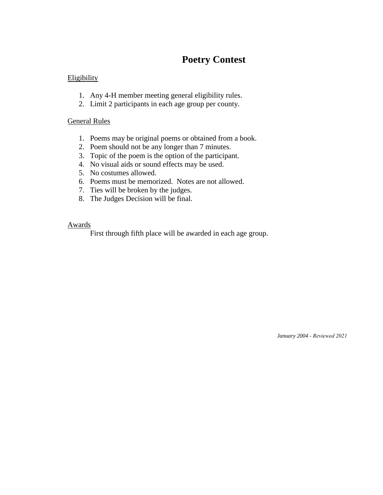# **Poetry Contest**

### **Eligibility**

- 1. Any 4-H member meeting general eligibility rules.
- 2. Limit 2 participants in each age group per county.

### General Rules

- 1. Poems may be original poems or obtained from a book.
- 2. Poem should not be any longer than 7 minutes.
- 3. Topic of the poem is the option of the participant.
- 4. No visual aids or sound effects may be used.
- 5. No costumes allowed.
- 6. Poems must be memorized. Notes are not allowed.
- 7. Ties will be broken by the judges.
- 8. The Judges Decision will be final.

#### Awards

First through fifth place will be awarded in each age group.

*January 2004 - Reviewed 2021*